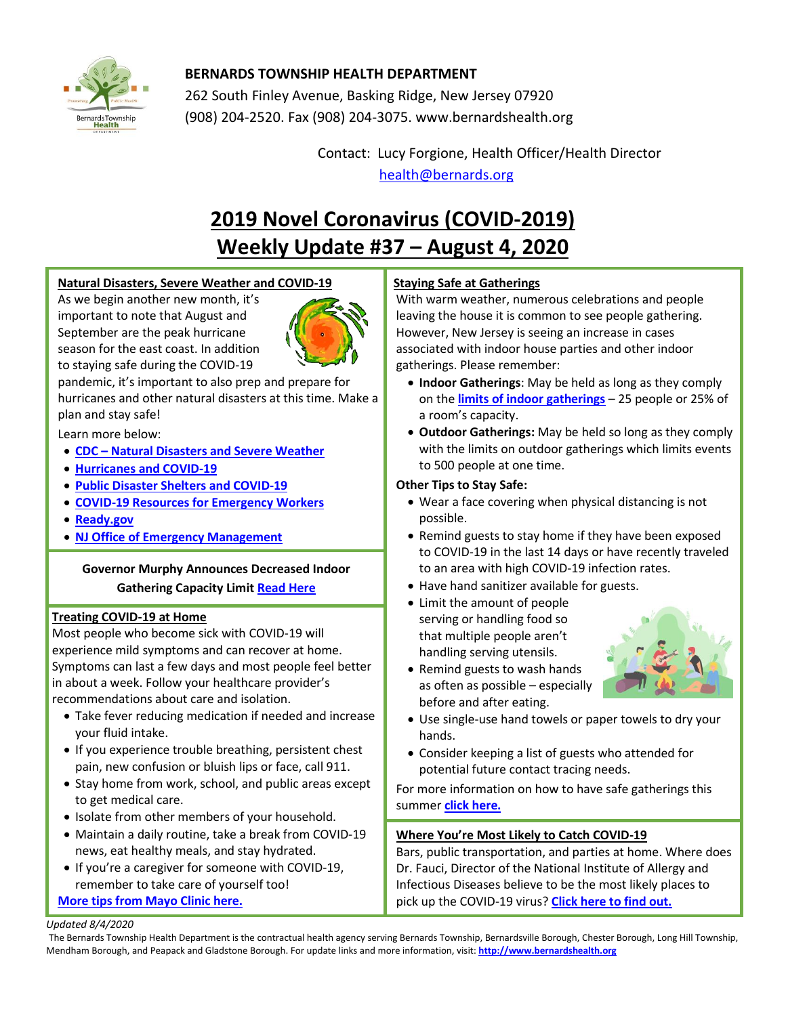

# **BERNARDS TOWNSHIP HEALTH DEPARTMENT**

262 South Finley Avenue, Basking Ridge, New Jersey 07920 (908) 204-2520. Fax (908) 204-3075[. www.bernardshealth.org](http://www.bernardshealth.org/)

> Contact: Lucy Forgione, Health Officer/Health Director [health@bernards.org](mailto:health@bernards.org)

# **2019 Novel Coronavirus (COVID-2019) Weekly Update #37 – August 4, 2020**

## **Natural Disasters, Severe Weather and COVID-19**

As we begin another new month, it's important to note that August and September are the peak hurricane season for the east coast. In addition to staying safe during the COVID-19



pandemic, it's important to also prep and prepare for hurricanes and other natural disasters at this time. Make a plan and stay safe!

Learn more below:

- **CDC – [Natural Disasters and Severe Weather](https://www.cdc.gov/disasters/covid-19/disasters_severe_weather_and_covid-19.html?deliveryName=USCDC_2062-DM33192)**
- **[Hurricanes and COVID-19](https://www.cdc.gov/disasters/hurricanes/covid-19/prepare-for-hurricane.html)**
- **[Public Disaster Shelters and COVID-19](https://www.cdc.gov/disasters/hurricanes/covid-19/public-disaster-shelter-during-covid.html)**
- **[COVID-19 Resources for Emergency Workers](https://www.cdc.gov/disasters/covid-19/covid-19_resources_for_professionals.html)**
- **[Ready.gov](https://www.ready.gov/)**
- **[NJ Office of Emergency Management](http://www.ready.nj.gov/)**

## **Governor Murphy Announces Decreased Indoor Gathering Capacity Limit [Read Here](https://covid19.nj.gov/faqs/announcements/all-announcements/governor-murphy-announces-decreased-indoor-gathering-capacity-limit)**

## **Treating COVID-19 at Home**

Most people who become sick with COVID-19 will experience mild symptoms and can recover at home. Symptoms can last a few days and most people feel better in about a week. Follow your healthcare provider's recommendations about care and isolation.

- Take fever reducing medication if needed and increase your fluid intake.
- If you experience trouble breathing, persistent chest pain, new confusion or bluish lips or face, call 911.
- Stay home from work, school, and public areas except to get medical care.
- Isolate from other members of your household.
- Maintain a daily routine, take a break from COVID-19 news, eat healthy meals, and stay hydrated.
- If you're a caregiver for someone with COVID-19, remember to take care of yourself too! **[More tips from Mayo Clinic here.](https://www.mayoclinic.org/diseases-conditions/coronavirus/in-depth/treating-covid-19-at-home/art-20483273)**

## **Staying Safe at Gatherings**

With warm weather, numerous celebrations and people leaving the house it is common to see people gathering. However, New Jersey is seeing an increase in cases associated with indoor house parties and other indoor gatherings. Please remember:

- **Indoor Gatherings**: May be held as long as they comply on the **[limits of indoor gatherings](https://nj.gov/governor/news/news/562020/approved/20200702b.shtml)** – 25 people or 25% of a room's capacity.
- **Outdoor Gatherings:** May be held so long as they comply with the limits on outdoor gatherings which limits events to 500 people at one time.

## **Other Tips to Stay Safe:**

- Wear a face covering when physical distancing is not possible.
- Remind guests to stay home if they have been exposed to COVID-19 in the last 14 days or have recently traveled to an area with high COVID-19 infection rates.
- Have hand sanitizer available for guests.
- Limit the amount of people serving or handling food so that multiple people aren't handling serving utensils.
- 
- Remind guests to wash hands as often as possible – especially before and after eating.
- Use single-use hand towels or paper towels to dry your hands.
- Consider keeping a list of guests who attended for potential future contact tracing needs.

For more information on how to have safe gatherings this summer **[click here.](https://covid19.nj.gov/faqs/nj-information/reopening-guidance/are-people-allowed-to-gather-in-person?utm_campaign=20200731_nwsltr&utm_medium=email&utm_source=govdelivery)**

## **Where You're Most Likely to Catch COVID-19**

Bars, public transportation, and parties at home. Where does Dr. Fauci, Director of the National Institute of Allergy and Infectious Diseases believe to be the most likely places to pick up the COVID-19 virus? **[Click here to find out.](https://www.eatthis.com/fauci-covid-danger-places/)**

#### *Updated 8/4/2020*

The Bernards Township Health Department is the contractual health agency serving Bernards Township, Bernardsville Borough, Chester Borough, Long Hill Township, Mendham Borough, and Peapack and Gladstone Borough. For update links and more information, visit: **[http://www.bernardshealth.org](http://www.bernardshealth.org/)**